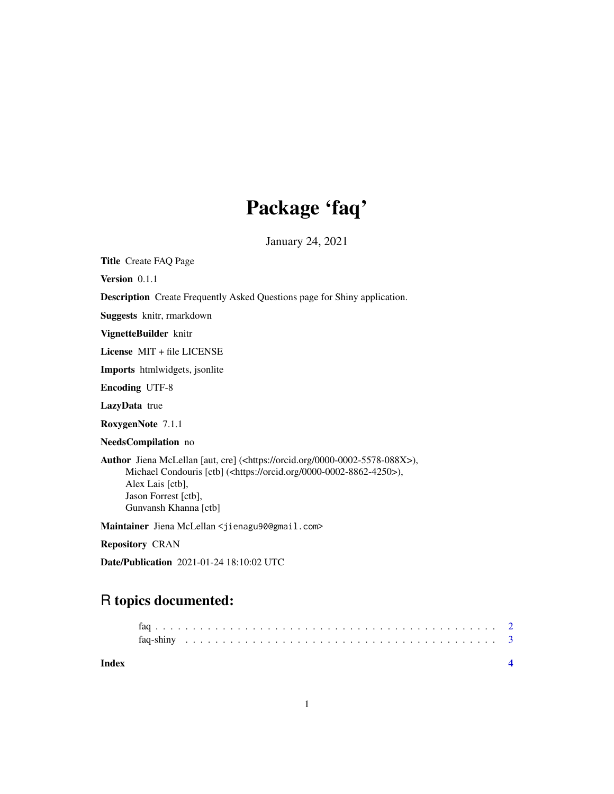## Package 'faq'

January 24, 2021

Title Create FAQ Page

Version 0.1.1

Description Create Frequently Asked Questions page for Shiny application.

Suggests knitr, rmarkdown

VignetteBuilder knitr

License MIT + file LICENSE

Imports htmlwidgets, jsonlite

Encoding UTF-8

LazyData true

RoxygenNote 7.1.1

NeedsCompilation no

Author Jiena McLellan [aut, cre] (<https://orcid.org/0000-0002-5578-088X>), Michael Condouris [ctb] (<https://orcid.org/0000-0002-8862-4250>), Alex Lais [ctb], Jason Forrest [ctb], Gunvansh Khanna [ctb]

Maintainer Jiena McLellan <jienagu90@gmail.com>

Repository CRAN

Date/Publication 2021-01-24 18:10:02 UTC

### R topics documented:

| Index |  |  |  |  |  |  |  |  |  |  |  |  |  |  |  |  |  |  |  |  |  |
|-------|--|--|--|--|--|--|--|--|--|--|--|--|--|--|--|--|--|--|--|--|--|
|       |  |  |  |  |  |  |  |  |  |  |  |  |  |  |  |  |  |  |  |  |  |
|       |  |  |  |  |  |  |  |  |  |  |  |  |  |  |  |  |  |  |  |  |  |
|       |  |  |  |  |  |  |  |  |  |  |  |  |  |  |  |  |  |  |  |  |  |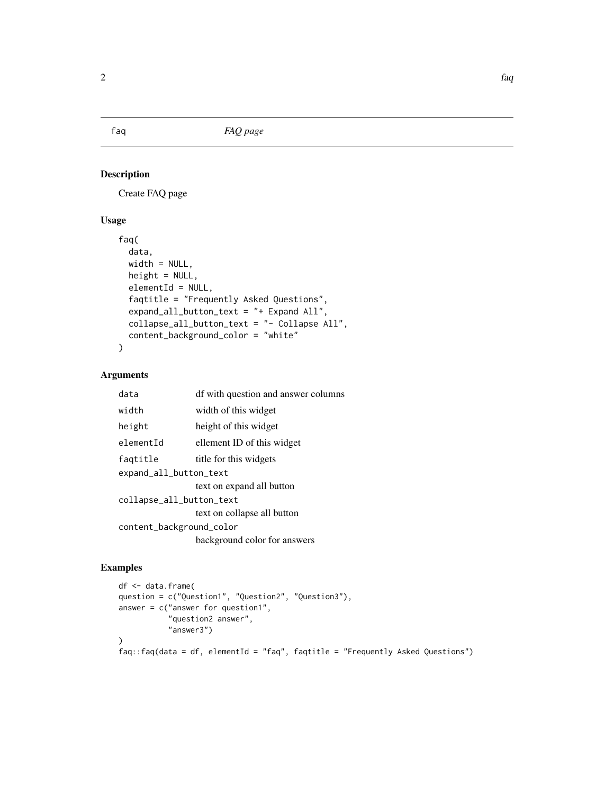<span id="page-1-0"></span>

#### Description

Create FAQ page

#### Usage

```
faq(
  data,
  width = NULL,
 height = NULL,elementId = NULL,faqtitle = "Frequently Asked Questions",
  expand_all_button_text = "+ Expand All",
  collapse_all_button_text = "- Collapse All",
  content_background_color = "white"
\mathcal{L}
```
#### Arguments

| data                     | df with question and answer columns |  |  |  |  |  |  |
|--------------------------|-------------------------------------|--|--|--|--|--|--|
| width                    | width of this widget                |  |  |  |  |  |  |
| height                   | height of this widget               |  |  |  |  |  |  |
| elementId                | ellement ID of this widget          |  |  |  |  |  |  |
| faqtitle                 | title for this widgets              |  |  |  |  |  |  |
| expand_all_button_text   |                                     |  |  |  |  |  |  |
|                          | text on expand all button           |  |  |  |  |  |  |
| collapse_all_button_text |                                     |  |  |  |  |  |  |
|                          | text on collapse all button         |  |  |  |  |  |  |
| content_background_color |                                     |  |  |  |  |  |  |
|                          | background color for answers        |  |  |  |  |  |  |

#### Examples

```
df <- data.frame(
question = c("Question1", "Question2", "Question3"),
answer = c("answer for question1","question2 answer",
           "answer3")
\mathcal{L}faq::faq(data = df, elementId = "faq", faqtitle = "Frequently Asked Questions")
```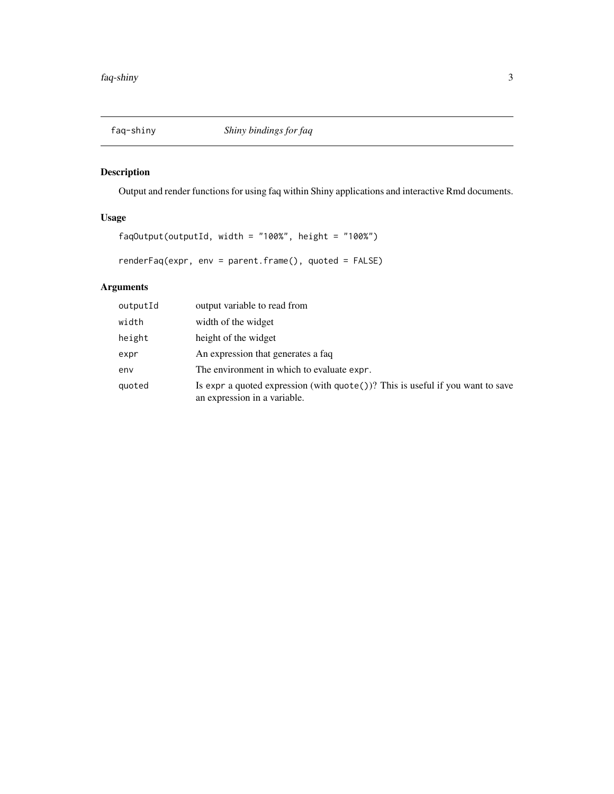<span id="page-2-0"></span>

#### Description

Output and render functions for using faq within Shiny applications and interactive Rmd documents.

#### Usage

```
faqOutput(outputId, width = "100%", height = "100%")
```
renderFaq(expr, env = parent.frame(), quoted = FALSE)

#### Arguments

| outputId | output variable to read from                                                                                         |
|----------|----------------------------------------------------------------------------------------------------------------------|
| width    | width of the widget                                                                                                  |
| height   | height of the widget                                                                                                 |
| expr     | An expression that generates a faq                                                                                   |
| env      | The environment in which to evaluate expr.                                                                           |
| quoted   | Is expr a quoted expression (with $\eta$ uote())? This is useful if you want to save<br>an expression in a variable. |